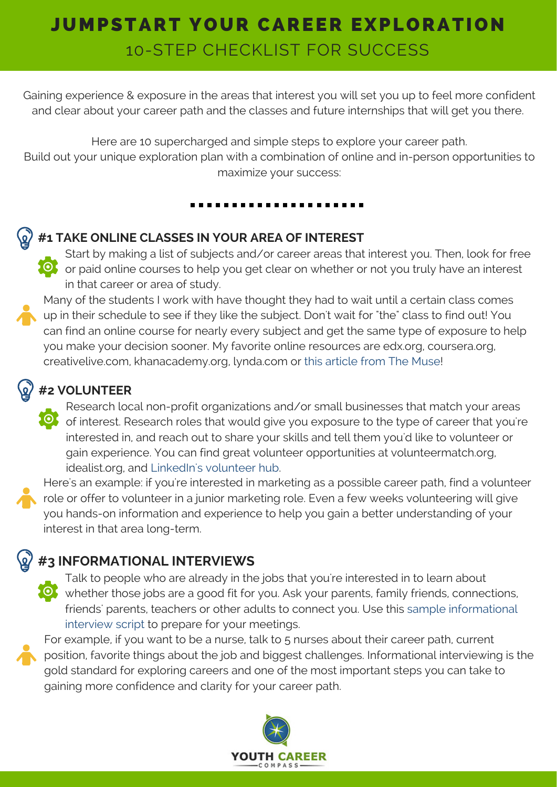# JUMPSTART YOUR CAREER EXPLORATION 10-STEP CHECKLIST FOR SUCCESS

Gaining experience & exposure in the areas that interest you will set you up to feel more confident and clear about your career path and the classes and future internships that will get you there.

Here are 10 supercharged and simple steps to explore your career path. Build out your unique exploration plan with a combination of online and in-person opportunities to maximize your success:

#### **#1 TAKE ONLINE CLASSES IN YOUR AREA OF INTEREST**

Start by making a list of subjects and/or career areas that interest you. Then, look for free OF or paid online courses to help you get clear on whether or not you truly have an interest in that career or area of study.

Many of the students I work with have thought they had to wait until a certain class comes up in their schedule to see if they like the subject. Don't wait for "the" class to find out! You can find an online course for nearly every subject and get the same type of exposure to help you make your decision sooner. My favorite online resources are edx.org, coursera.org, creativelive.com, [khanacademy.org,](https://www.themuse.com/advice/43-free-careeradvancing-courses-you-can-take-and-actually-finish-this-summer) lynda.com or this article from The Muse!

#### **#2 VOLUNTEER**

Research local non-profit organizations and/or small businesses that match your areas of interest. Research roles that would give you exposure to the type of career that you're interested in, and reach out to share your skills and tell them you'd like to volunteer or gain experience. You can find great volunteer opportunities at [volunteermatch.org,](https://volunteer.linkedin.com/) idealist.org, and LinkedIn's volunteer hub.

Here's an example: if you're interested in marketing as a possible career path, find a volunteer role or offer to volunteer in a junior marketing role. Even a few weeks volunteering will give you hands-on information and experience to help you gain a better understanding of your interest in that area long-term.

## **#3 INFORMATIONAL INTERVIEWS**

Talk to people who are already in the jobs that you're interested in to learn about whether those jobs are a good fit for you. Ask your parents, family friends, connections, friends' parents, teachers or other adults to connect you. Use this sample [informational](http://www.youthcareercompass.com/wp-content/uploads/2016/06/INFORMATIONAL-INTERVIEWS_2016_YCC.pdf) interview script to prepare for your meetings.

For example, if you want to be a nurse, talk to 5 nurses about their career path, current position, favorite things about the job and biggest challenges. Informational interviewing is the gold standard for exploring careers and one of the most important steps you can take to gaining more confidence and clarity for your career path.

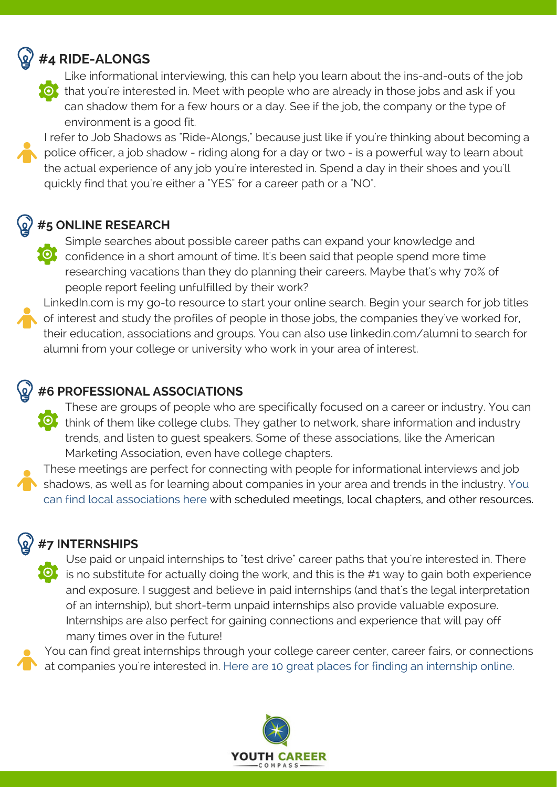#### **#4 RIDE-ALONGS**



Like informational interviewing, this can help you learn about the ins-and-outs of the job **O** that you're interested in. Meet with people who are already in those jobs and ask if you can shadow them for a few hours or a day. See if the job, the company or the type of environment is a good fit.

I refer to Job Shadows as "Ride-Alongs," because just like if you're thinking about becoming a police officer, a job shadow - riding along for a day or two - is a powerful way to learn about the actual experience of any job you're interested in. Spend a day in their shoes and you'll quickly find that you're either a "YES" for a career path or a "NO".

### **#5 ONLINE RESEARCH**

Simple searches about possible career paths can expand your knowledge and **O** confidence in a short amount of time. It's been said that people spend more time researching vacations than they do planning their careers. Maybe that's why 70% of people report feeling unfulfilled by their work?

LinkedIn.com is my go-to resource to start your online search. Begin your search for job titles of interest and study the profiles of people in those jobs, the companies they've worked for, their education, associations and groups. You can also use linkedin.com/alumni to search for alumni from your college or university who work in your area of interest.

### **#6 PROFESSIONAL ASSOCIATIONS**

These are groups of people who are specifically focused on a career or industry. You can think of them like college clubs. They gather to network, share information and industry trends, and listen to guest speakers. Some of these associations, like the American Marketing Association, even have college chapters.

These meetings are perfect for connecting with people for [informational](http://www.directoryofassociations.com/) interviews and job shadows, as well as for learning about companies in your area and trends in the industry. You can find local associations here with scheduled meetings, local chapters, and other resources.

#### **#7 INTERNSHIPS**

Use paid or unpaid internships to "test drive" career paths that you're interested in. There is no substitute for actually doing the work, and this is the  $\#1$  way to gain both experience and exposure. I suggest and believe in paid internships (and that's the legal interpretation of an internship), but short-term unpaid internships also provide valuable exposure. Internships are also perfect for gaining connections and experience that will pay off many times over in the future!

You can find great internships through your college career center, career fairs, or [connections](http://www.forbes.com/sites/karstenstrauss/2016/02/01/the-10-best-sites-for-finding-an-internship-in-2016/#320c6b9d74c1) at companies you're interested in. Here are 10 great places for finding an internship online.